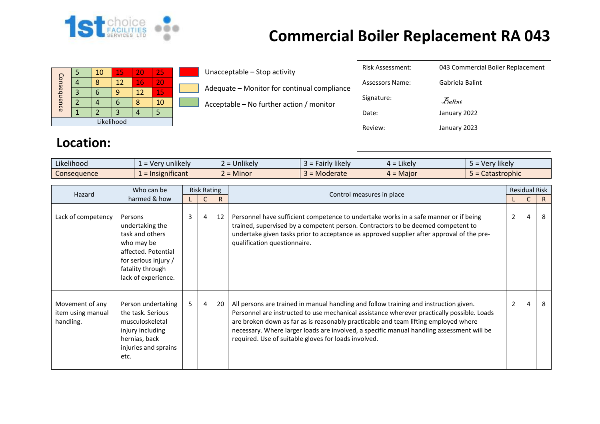

|             |  | 10 | 15 | 20 | 25 |  |  |  |  |  |
|-------------|--|----|----|----|----|--|--|--|--|--|
|             |  |    | 12 | 16 | 20 |  |  |  |  |  |
|             |  |    | q  | 12 | 15 |  |  |  |  |  |
| Consequence |  |    |    |    | 10 |  |  |  |  |  |
|             |  |    | 3  |    |    |  |  |  |  |  |
| Likelihood  |  |    |    |    |    |  |  |  |  |  |

Unacceptable – Stop activity

Adequate – Monitor for continual compliance

Acceptable – No further action / monitor

| <b>Risk Assessment:</b> | 043 Commercial Boiler Replacement                  |
|-------------------------|----------------------------------------------------|
| Assessors Name:         | Gabriela Balint                                    |
| Signature:              | $\mathcal{F}_{\textit{a} \textit{f} \textit{int}}$ |
| Date:                   | January 2022                                       |
| Review:                 | January 2023                                       |
|                         |                                                    |
|                         |                                                    |

#### **Location:**

| .<br>$\cdots$<br>Likelihood | $\cdots$<br>, unlikelv<br>-ver<br>- | <b>Jnlikely</b> | Fairly likely<br>$\rightarrow$ | .<br>$4 =$ Likely | $\cdots$<br>Very likely |
|-----------------------------|-------------------------------------|-----------------|--------------------------------|-------------------|-------------------------|
| <b>Consequence</b>          | $\cdot$ $\cdot$<br>significant      | <b>Minor</b>    | Moderate                       | $4 =$ Major       | Catastrophic            |

| Hazard                                            | Who can be                                                                                                                                            |   | <b>Risk Rating</b> |              |                                                                                                                                                                                                                                                                                                                                                                                                                                 |   | <b>Residual Risk</b> |              |
|---------------------------------------------------|-------------------------------------------------------------------------------------------------------------------------------------------------------|---|--------------------|--------------|---------------------------------------------------------------------------------------------------------------------------------------------------------------------------------------------------------------------------------------------------------------------------------------------------------------------------------------------------------------------------------------------------------------------------------|---|----------------------|--------------|
| harmed & how                                      |                                                                                                                                                       |   |                    | $\mathsf{R}$ | Control measures in place                                                                                                                                                                                                                                                                                                                                                                                                       |   | $\mathsf{C}$         | $\mathsf{R}$ |
| Lack of competency                                | Persons<br>undertaking the<br>task and others<br>who may be<br>affected. Potential<br>for serious injury /<br>fatality through<br>lack of experience. | 3 | 4                  | 12           | Personnel have sufficient competence to undertake works in a safe manner or if being<br>trained, supervised by a competent person. Contractors to be deemed competent to<br>undertake given tasks prior to acceptance as approved supplier after approval of the pre-<br>qualification questionnaire.                                                                                                                           | 2 | 4                    | 8            |
| Movement of any<br>item using manual<br>handling. | Person undertaking<br>the task. Serious<br>musculoskeletal<br>injury including<br>hernias, back<br>injuries and sprains<br>etc.                       | 5 | $\overline{4}$     | 20           | All persons are trained in manual handling and follow training and instruction given.<br>Personnel are instructed to use mechanical assistance wherever practically possible. Loads<br>are broken down as far as is reasonably practicable and team lifting employed where<br>necessary. Where larger loads are involved, a specific manual handling assessment will be<br>required. Use of suitable gloves for loads involved. | 2 | 4                    | 8            |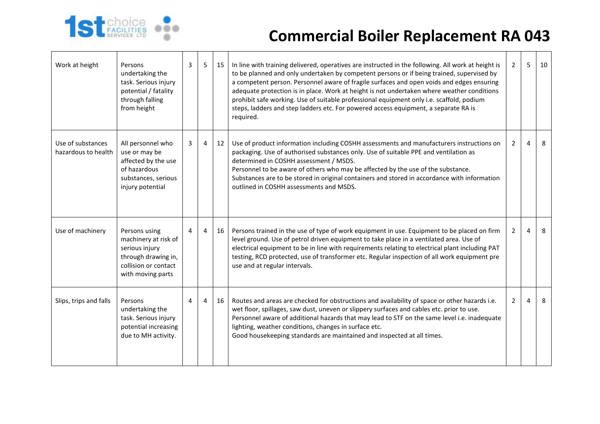

| Work at height                           | Persons<br>undertaking the<br>task. Serious injury<br>potential / fatality<br>through falling<br>from height                | 3 | 5              | 15 | In line with training delivered, operatives are instructed in the following. All work at height is<br>to be planned and only undertaken by competent persons or if being trained, supervised by<br>a competent person. Personnel aware of fragile surfaces and open voids and edges ensuring<br>adequate protection is in place. Work at height is not undertaken where weather conditions<br>prohibit safe working. Use of suitable professional equipment only i.e. scaffold, podium<br>steps, ladders and step ladders etc. For powered access equipment, a separate RA is<br>required. | $\overline{2}$ | 5 | 10 |
|------------------------------------------|-----------------------------------------------------------------------------------------------------------------------------|---|----------------|----|--------------------------------------------------------------------------------------------------------------------------------------------------------------------------------------------------------------------------------------------------------------------------------------------------------------------------------------------------------------------------------------------------------------------------------------------------------------------------------------------------------------------------------------------------------------------------------------------|----------------|---|----|
| Use of substances<br>hazardous to health | All personnel who<br>use or may be<br>affected by the use<br>of hazardous<br>substances, serious<br>injury potential        | 3 | $\overline{4}$ | 12 | Use of product information including COSHH assessments and manufacturers instructions on<br>packaging. Use of authorised substances only. Use of suitable PPE and ventilation as<br>determined in COSHH assessment / MSDS.<br>Personnel to be aware of others who may be affected by the use of the substance.<br>Substances are to be stored in original containers and stored in accordance with information<br>outlined in COSHH assessments and MSDS.                                                                                                                                  | $\overline{2}$ | 4 | 8  |
| Use of machinery                         | Persons using<br>machinery at risk of<br>serious injury<br>through drawing in,<br>collision or contact<br>with moving parts | 4 | 4              | 16 | Persons trained in the use of type of work equipment in use. Equipment to be placed on firm<br>level ground. Use of petrol driven equipment to take place in a ventilated area. Use of<br>electrical equipment to be in line with requirements relating to electrical plant including PAT<br>testing, RCD protected, use of transformer etc. Regular inspection of all work equipment pre<br>use and at regular intervals.                                                                                                                                                                 | 2              | 4 | 8  |
| Slips, trips and falls                   | Persons<br>undertaking the<br>task. Serious injury<br>potential increasing<br>due to MH activity.                           | 4 | 4              | 16 | Routes and areas are checked for obstructions and availability of space or other hazards i.e.<br>wet floor, spillages, saw dust, uneven or slippery surfaces and cables etc. prior to use.<br>Personnel aware of additional hazards that may lead to STF on the same level i.e. inadequate<br>lighting, weather conditions, changes in surface etc.<br>Good housekeeping standards are maintained and inspected at all times.                                                                                                                                                              | $\overline{2}$ | 4 | 8  |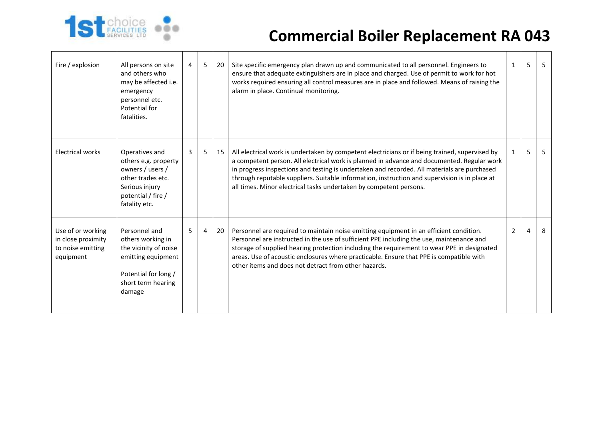

| Fire / explosion                                                          | All persons on site<br>and others who<br>may be affected i.e.<br>emergency<br>personnel etc.<br>Potential for<br>fatalities.              | 4 | 5 <sub>1</sub> | 20 | Site specific emergency plan drawn up and communicated to all personnel. Engineers to<br>ensure that adequate extinguishers are in place and charged. Use of permit to work for hot<br>works required ensuring all control measures are in place and followed. Means of raising the<br>alarm in place. Continual monitoring.                                                                                                                                       | $\mathbf{1}$   | 5 | 5  |
|---------------------------------------------------------------------------|-------------------------------------------------------------------------------------------------------------------------------------------|---|----------------|----|--------------------------------------------------------------------------------------------------------------------------------------------------------------------------------------------------------------------------------------------------------------------------------------------------------------------------------------------------------------------------------------------------------------------------------------------------------------------|----------------|---|----|
| <b>Electrical works</b>                                                   | Operatives and<br>others e.g. property<br>owners / users /<br>other trades etc.<br>Serious injury<br>potential / fire /<br>fatality etc.  | 3 | 5              | 15 | All electrical work is undertaken by competent electricians or if being trained, supervised by<br>a competent person. All electrical work is planned in advance and documented. Regular work<br>in progress inspections and testing is undertaken and recorded. All materials are purchased<br>through reputable suppliers. Suitable information, instruction and supervision is in place at<br>all times. Minor electrical tasks undertaken by competent persons. | 1              | 5 | 5. |
| Use of or working<br>in close proximity<br>to noise emitting<br>equipment | Personnel and<br>others working in<br>the vicinity of noise<br>emitting equipment<br>Potential for long /<br>short term hearing<br>damage | 5 | $\overline{4}$ | 20 | Personnel are required to maintain noise emitting equipment in an efficient condition.<br>Personnel are instructed in the use of sufficient PPE including the use, maintenance and<br>storage of supplied hearing protection including the requirement to wear PPE in designated<br>areas. Use of acoustic enclosures where practicable. Ensure that PPE is compatible with<br>other items and does not detract from other hazards.                                | $\overline{2}$ | 4 | 8  |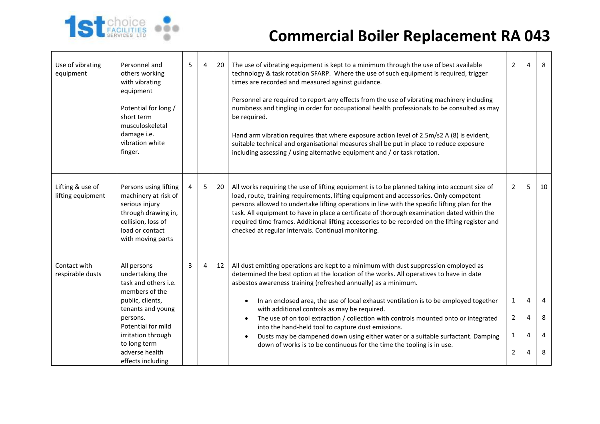

| Use of vibrating<br>equipment         | Personnel and<br>others working<br>with vibrating<br>equipment<br>Potential for long /<br>short term<br>musculoskeletal<br>damage i.e.<br>vibration white<br>finger.                                                             | 5 | $\overline{4}$ | 20 | The use of vibrating equipment is kept to a minimum through the use of best available<br>technology & task rotation SFARP. Where the use of such equipment is required, trigger<br>times are recorded and measured against guidance.<br>Personnel are required to report any effects from the use of vibrating machinery including<br>numbness and tingling in order for occupational health professionals to be consulted as may<br>be required.<br>Hand arm vibration requires that where exposure action level of 2.5m/s2 A (8) is evident,<br>suitable technical and organisational measures shall be put in place to reduce exposure<br>including assessing / using alternative equipment and / or task rotation. | $\overline{2}$                                                   | 4                | 8                |
|---------------------------------------|----------------------------------------------------------------------------------------------------------------------------------------------------------------------------------------------------------------------------------|---|----------------|----|------------------------------------------------------------------------------------------------------------------------------------------------------------------------------------------------------------------------------------------------------------------------------------------------------------------------------------------------------------------------------------------------------------------------------------------------------------------------------------------------------------------------------------------------------------------------------------------------------------------------------------------------------------------------------------------------------------------------|------------------------------------------------------------------|------------------|------------------|
| Lifting & use of<br>lifting equipment | Persons using lifting<br>machinery at risk of<br>serious injury<br>through drawing in,<br>collision, loss of<br>load or contact<br>with moving parts                                                                             | 4 | 5              | 20 | All works requiring the use of lifting equipment is to be planned taking into account size of<br>load, route, training requirements, lifting equipment and accessories. Only competent<br>persons allowed to undertake lifting operations in line with the specific lifting plan for the<br>task. All equipment to have in place a certificate of thorough examination dated within the<br>required time frames. Additional lifting accessories to be recorded on the lifting register and<br>checked at regular intervals. Continual monitoring.                                                                                                                                                                      | $\overline{2}$                                                   | 5                | 10               |
| Contact with<br>respirable dusts      | All persons<br>undertaking the<br>task and others i.e.<br>members of the<br>public, clients,<br>tenants and young<br>persons.<br>Potential for mild<br>irritation through<br>to long term<br>adverse health<br>effects including | 3 | 4              | 12 | All dust emitting operations are kept to a minimum with dust suppression employed as<br>determined the best option at the location of the works. All operatives to have in date<br>asbestos awareness training (refreshed annually) as a minimum.<br>In an enclosed area, the use of local exhaust ventilation is to be employed together<br>with additional controls as may be required.<br>The use of on tool extraction / collection with controls mounted onto or integrated<br>$\bullet$<br>into the hand-held tool to capture dust emissions.<br>Dusts may be dampened down using either water or a suitable surfactant. Damping<br>down of works is to be continuous for the time the tooling is in use.        | $\mathbf{1}$<br>$\overline{2}$<br>$\mathbf{1}$<br>$\overline{2}$ | 4<br>4<br>4<br>4 | 4<br>8<br>4<br>8 |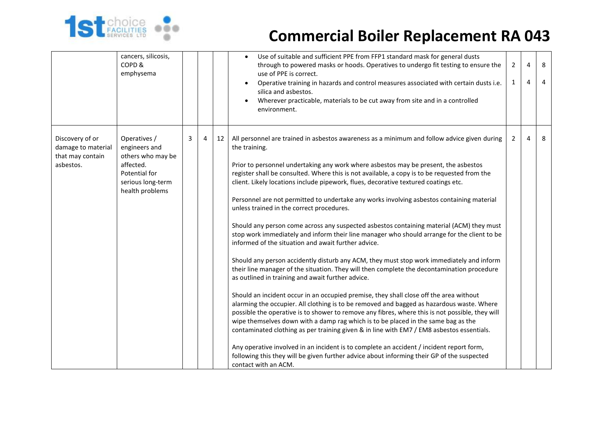

|                                                                        | cancers, silicosis,<br>COPD&<br>emphysema                                                                                |   |   |    | Use of suitable and sufficient PPE from FFP1 standard mask for general dusts<br>$\bullet$<br>through to powered masks or hoods. Operatives to undergo fit testing to ensure the<br>use of PPE is correct.<br>Operative training in hazards and control measures associated with certain dusts i.e.<br>silica and asbestos.<br>Wherever practicable, materials to be cut away from site and in a controlled<br>environment.                                                                                                                                                                                                                                                                                                                                                                                                                                                                                                                                                                                                                                                                                                                                                                                                                                                                                                                                                                                                                                                                                                                                                                                                                                                                                                          | $\overline{2}$<br>$\mathbf{1}$ | 4<br>4 | 8<br>4 |
|------------------------------------------------------------------------|--------------------------------------------------------------------------------------------------------------------------|---|---|----|-------------------------------------------------------------------------------------------------------------------------------------------------------------------------------------------------------------------------------------------------------------------------------------------------------------------------------------------------------------------------------------------------------------------------------------------------------------------------------------------------------------------------------------------------------------------------------------------------------------------------------------------------------------------------------------------------------------------------------------------------------------------------------------------------------------------------------------------------------------------------------------------------------------------------------------------------------------------------------------------------------------------------------------------------------------------------------------------------------------------------------------------------------------------------------------------------------------------------------------------------------------------------------------------------------------------------------------------------------------------------------------------------------------------------------------------------------------------------------------------------------------------------------------------------------------------------------------------------------------------------------------------------------------------------------------------------------------------------------------|--------------------------------|--------|--------|
| Discovery of or<br>damage to material<br>that may contain<br>asbestos. | Operatives /<br>engineers and<br>others who may be<br>affected.<br>Potential for<br>serious long-term<br>health problems | 3 | 4 | 12 | All personnel are trained in asbestos awareness as a minimum and follow advice given during<br>the training.<br>Prior to personnel undertaking any work where asbestos may be present, the asbestos<br>register shall be consulted. Where this is not available, a copy is to be requested from the<br>client. Likely locations include pipework, flues, decorative textured coatings etc.<br>Personnel are not permitted to undertake any works involving asbestos containing material<br>unless trained in the correct procedures.<br>Should any person come across any suspected asbestos containing material (ACM) they must<br>stop work immediately and inform their line manager who should arrange for the client to be<br>informed of the situation and await further advice.<br>Should any person accidently disturb any ACM, they must stop work immediately and inform<br>their line manager of the situation. They will then complete the decontamination procedure<br>as outlined in training and await further advice.<br>Should an incident occur in an occupied premise, they shall close off the area without<br>alarming the occupier. All clothing is to be removed and bagged as hazardous waste. Where<br>possible the operative is to shower to remove any fibres, where this is not possible, they will<br>wipe themselves down with a damp rag which is to be placed in the same bag as the<br>contaminated clothing as per training given & in line with EM7 / EM8 asbestos essentials.<br>Any operative involved in an incident is to complete an accident / incident report form,<br>following this they will be given further advice about informing their GP of the suspected<br>contact with an ACM. | $\overline{2}$                 | 4      | 8      |